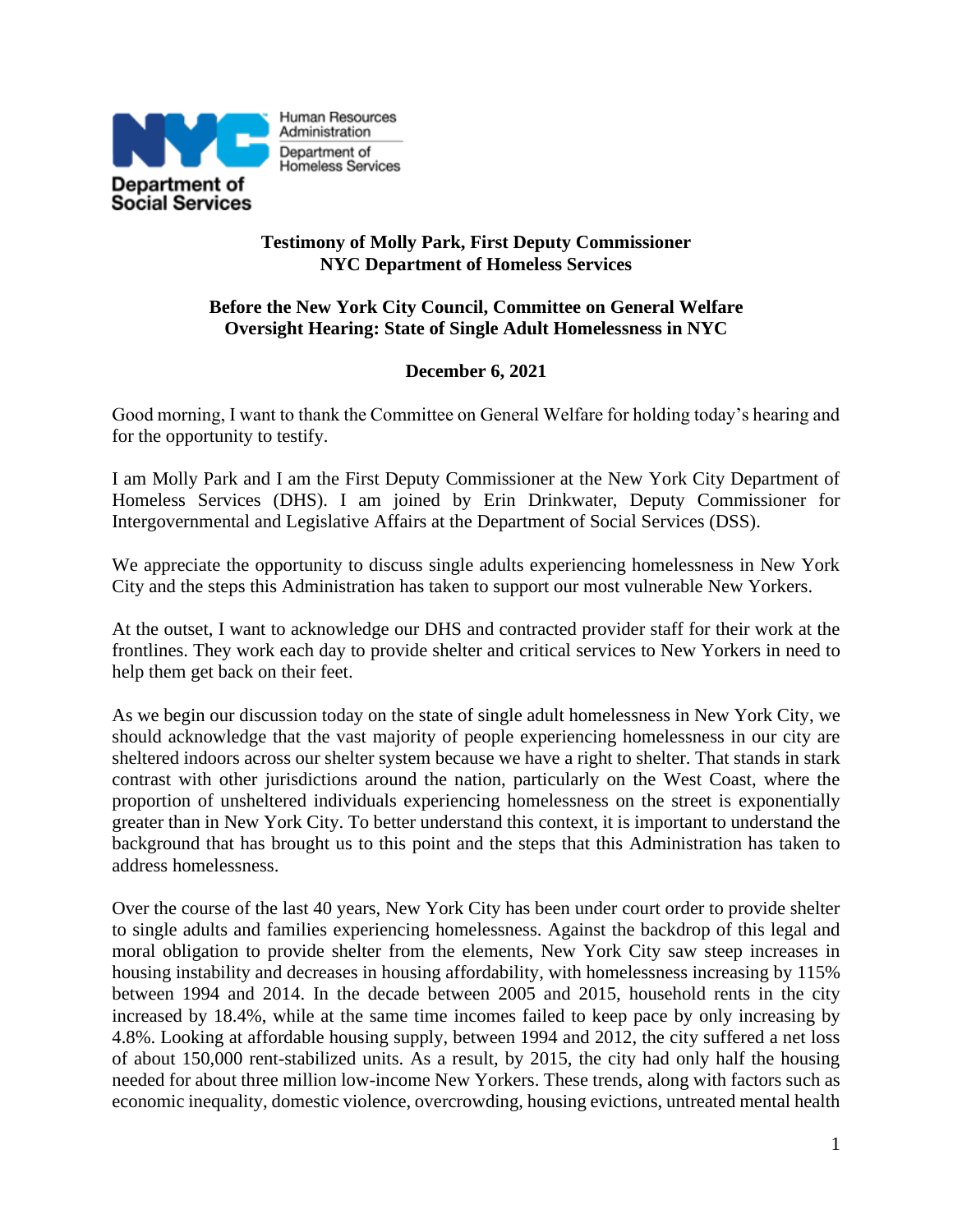

## **Testimony of Molly Park, First Deputy Commissioner NYC Department of Homeless Services**

## **Before the New York City Council, Committee on General Welfare Oversight Hearing: State of Single Adult Homelessness in NYC**

# **December 6, 2021**

Good morning, I want to thank the Committee on General Welfare for holding today's hearing and for the opportunity to testify.

I am Molly Park and I am the First Deputy Commissioner at the New York City Department of Homeless Services (DHS). I am joined by Erin Drinkwater, Deputy Commissioner for Intergovernmental and Legislative Affairs at the Department of Social Services (DSS).

We appreciate the opportunity to discuss single adults experiencing homelessness in New York City and the steps this Administration has taken to support our most vulnerable New Yorkers.

At the outset, I want to acknowledge our DHS and contracted provider staff for their work at the frontlines. They work each day to provide shelter and critical services to New Yorkers in need to help them get back on their feet.

As we begin our discussion today on the state of single adult homelessness in New York City, we should acknowledge that the vast majority of people experiencing homelessness in our city are sheltered indoors across our shelter system because we have a right to shelter. That stands in stark contrast with other jurisdictions around the nation, particularly on the West Coast, where the proportion of unsheltered individuals experiencing homelessness on the street is exponentially greater than in New York City. To better understand this context, it is important to understand the background that has brought us to this point and the steps that this Administration has taken to address homelessness.

Over the course of the last 40 years, New York City has been under court order to provide shelter to single adults and families experiencing homelessness. Against the backdrop of this legal and moral obligation to provide shelter from the elements, New York City saw steep increases in housing instability and decreases in housing affordability, with homelessness increasing by 115% between 1994 and 2014. In the decade between 2005 and 2015, household rents in the city increased by 18.4%, while at the same time incomes failed to keep pace by only increasing by 4.8%. Looking at affordable housing supply, between 1994 and 2012, the city suffered a net loss of about 150,000 rent-stabilized units. As a result, by 2015, the city had only half the housing needed for about three million low-income New Yorkers. These trends, along with factors such as economic inequality, domestic violence, overcrowding, housing evictions, untreated mental health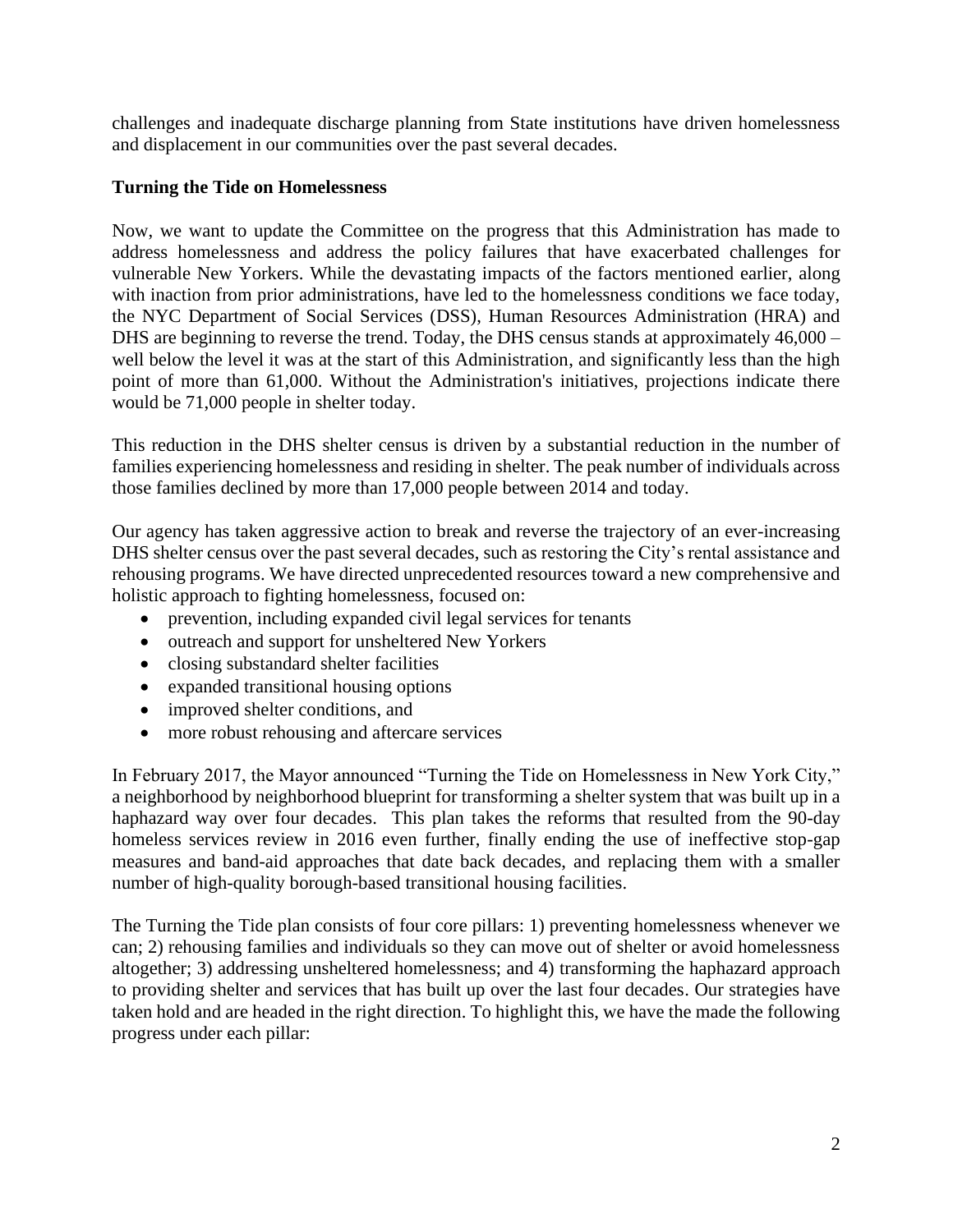challenges and inadequate discharge planning from State institutions have driven homelessness and displacement in our communities over the past several decades.

## **Turning the Tide on Homelessness**

Now, we want to update the Committee on the progress that this Administration has made to address homelessness and address the policy failures that have exacerbated challenges for vulnerable New Yorkers. While the devastating impacts of the factors mentioned earlier, along with inaction from prior administrations, have led to the homelessness conditions we face today, the NYC Department of Social Services (DSS), Human Resources Administration (HRA) and DHS are beginning to reverse the trend. Today, the DHS census stands at approximately 46,000 – well below the level it was at the start of this Administration, and significantly less than the high point of more than 61,000. Without the Administration's initiatives, projections indicate there would be 71,000 people in shelter today.

This reduction in the DHS shelter census is driven by a substantial reduction in the number of families experiencing homelessness and residing in shelter. The peak number of individuals across those families declined by more than 17,000 people between 2014 and today.

Our agency has taken aggressive action to break and reverse the trajectory of an ever-increasing DHS shelter census over the past several decades, such as restoring the City's rental assistance and rehousing programs. We have directed unprecedented resources toward a new comprehensive and holistic approach to fighting homelessness, focused on:

- prevention, including expanded civil legal services for tenants
- outreach and support for unsheltered New Yorkers
- closing substandard shelter facilities
- expanded transitional housing options
- improved shelter conditions, and
- more robust rehousing and aftercare services

In February 2017, the Mayor announced "Turning the Tide on Homelessness in New York City," a neighborhood by neighborhood blueprint for transforming a shelter system that was built up in a haphazard way over four decades. This plan takes the reforms that resulted from the 90-day homeless services review in 2016 even further, finally ending the use of ineffective stop-gap measures and band-aid approaches that date back decades, and replacing them with a smaller number of high-quality borough-based transitional housing facilities.

The Turning the Tide plan consists of four core pillars: 1) preventing homelessness whenever we can; 2) rehousing families and individuals so they can move out of shelter or avoid homelessness altogether; 3) addressing unsheltered homelessness; and 4) transforming the haphazard approach to providing shelter and services that has built up over the last four decades. Our strategies have taken hold and are headed in the right direction. To highlight this, we have the made the following progress under each pillar: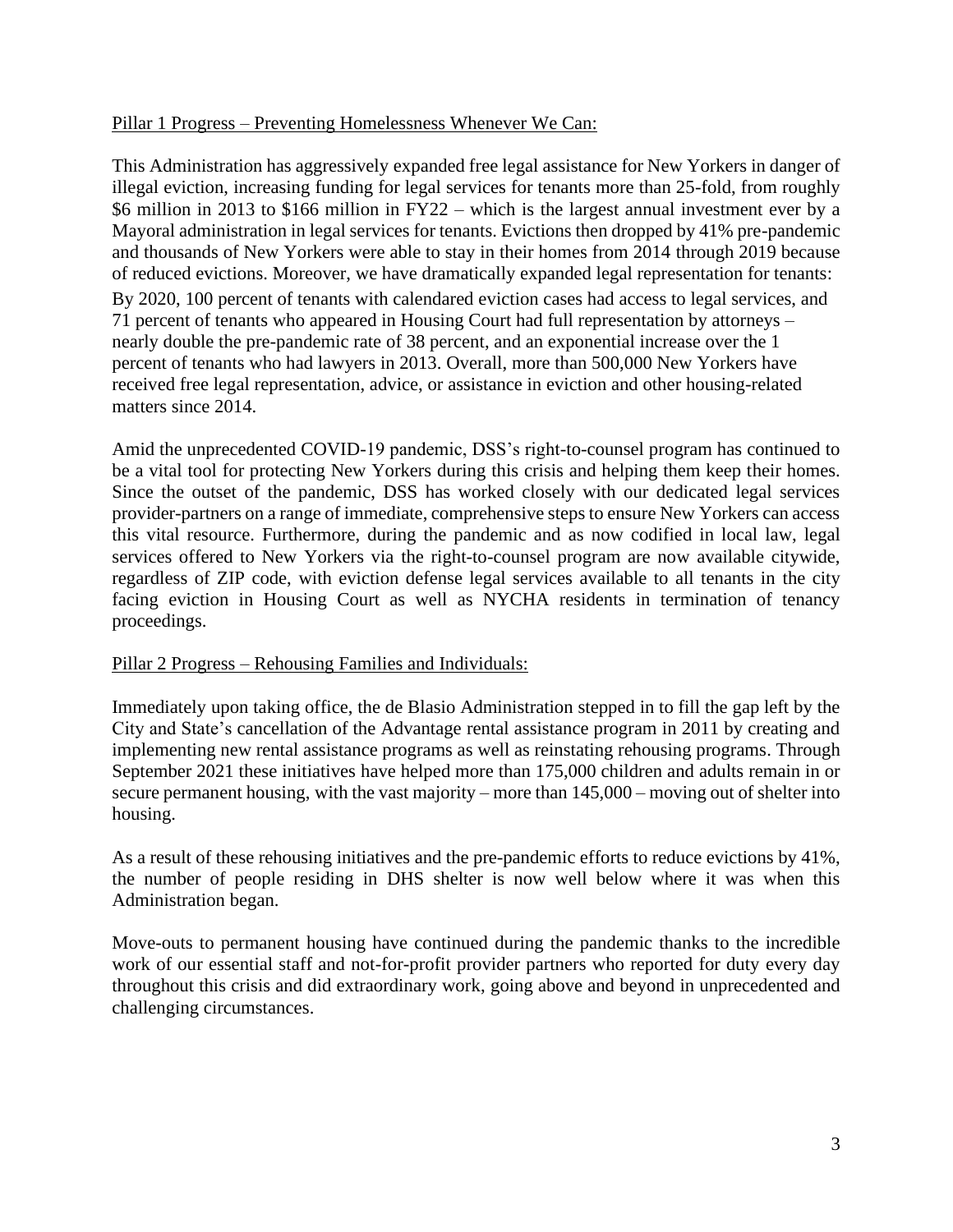### Pillar 1 Progress – Preventing Homelessness Whenever We Can:

This Administration has aggressively expanded free legal assistance for New Yorkers in danger of illegal eviction, increasing funding for legal services for tenants more than 25-fold, from roughly \$6 million in 2013 to \$166 million in FY22 – which is the largest annual investment ever by a Mayoral administration in legal services for tenants. Evictions then dropped by 41% pre-pandemic and thousands of New Yorkers were able to stay in their homes from 2014 through 2019 because of reduced evictions. Moreover, we have dramatically expanded legal representation for tenants: By 2020, 100 percent of tenants with calendared eviction cases had access to legal services, and 71 percent of tenants who appeared in Housing Court had full representation by attorneys – nearly double the pre-pandemic rate of 38 percent, and an exponential increase over the 1 percent of tenants who had lawyers in 2013. Overall, more than 500,000 New Yorkers have received free legal representation, advice, or assistance in eviction and other housing-related matters since 2014.

Amid the unprecedented COVID-19 pandemic, DSS's right-to-counsel program has continued to be a vital tool for protecting New Yorkers during this crisis and helping them keep their homes. Since the outset of the pandemic, DSS has worked closely with our dedicated legal services provider-partners on a range of immediate, comprehensive steps to ensure New Yorkers can access this vital resource. Furthermore, during the pandemic and as now codified in local law, legal services offered to New Yorkers via the right-to-counsel program are now available citywide, regardless of ZIP code, with eviction defense legal services available to all tenants in the city facing eviction in Housing Court as well as NYCHA residents in termination of tenancy proceedings.

## Pillar 2 Progress – Rehousing Families and Individuals:

Immediately upon taking office, the de Blasio Administration stepped in to fill the gap left by the City and State's cancellation of the Advantage rental assistance program in 2011 by creating and implementing new rental assistance programs as well as reinstating rehousing programs. Through September 2021 these initiatives have helped more than 175,000 children and adults remain in or secure permanent housing, with the vast majority – more than 145,000 – moving out of shelter into housing.

As a result of these rehousing initiatives and the pre-pandemic efforts to reduce evictions by 41%, the number of people residing in DHS shelter is now well below where it was when this Administration began.

Move-outs to permanent housing have continued during the pandemic thanks to the incredible work of our essential staff and not-for-profit provider partners who reported for duty every day throughout this crisis and did extraordinary work, going above and beyond in unprecedented and challenging circumstances.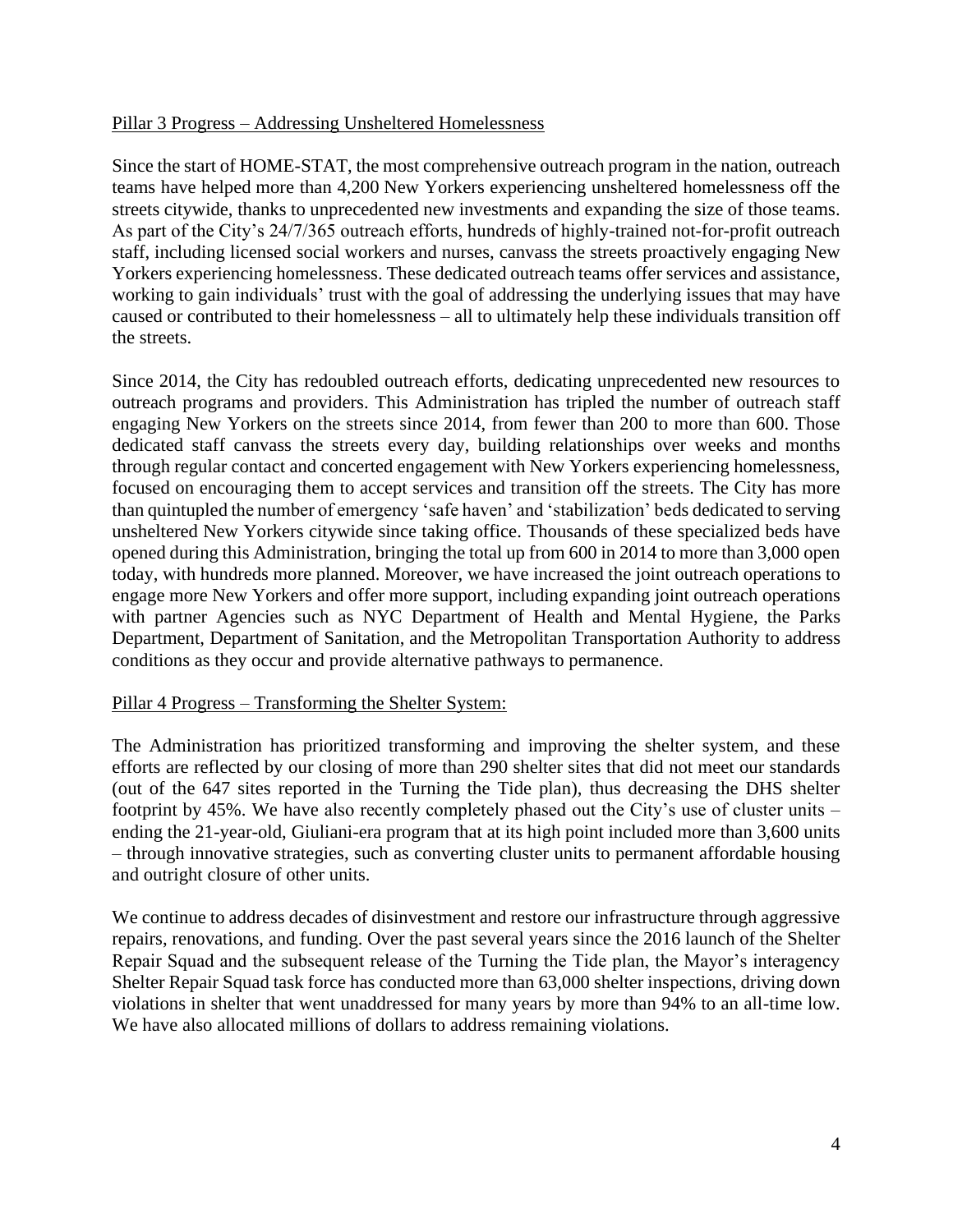#### Pillar 3 Progress – Addressing Unsheltered Homelessness

Since the start of HOME-STAT, the most comprehensive outreach program in the nation, outreach teams have helped more than 4,200 New Yorkers experiencing unsheltered homelessness off the streets citywide, thanks to unprecedented new investments and expanding the size of those teams. As part of the City's 24/7/365 outreach efforts, hundreds of highly-trained not-for-profit outreach staff, including licensed social workers and nurses, canvass the streets proactively engaging New Yorkers experiencing homelessness. These dedicated outreach teams offer services and assistance, working to gain individuals' trust with the goal of addressing the underlying issues that may have caused or contributed to their homelessness – all to ultimately help these individuals transition off the streets.

Since 2014, the City has redoubled outreach efforts, dedicating unprecedented new resources to outreach programs and providers. This Administration has tripled the number of outreach staff engaging New Yorkers on the streets since 2014, from fewer than 200 to more than 600. Those dedicated staff canvass the streets every day, building relationships over weeks and months through regular contact and concerted engagement with New Yorkers experiencing homelessness, focused on encouraging them to accept services and transition off the streets. The City has more than quintupled the number of emergency 'safe haven' and 'stabilization' beds dedicated to serving unsheltered New Yorkers citywide since taking office. Thousands of these specialized beds have opened during this Administration, bringing the total up from 600 in 2014 to more than 3,000 open today, with hundreds more planned. Moreover, we have increased the joint outreach operations to engage more New Yorkers and offer more support, including expanding joint outreach operations with partner Agencies such as NYC Department of Health and Mental Hygiene, the Parks Department, Department of Sanitation, and the Metropolitan Transportation Authority to address conditions as they occur and provide alternative pathways to permanence.

#### Pillar 4 Progress – Transforming the Shelter System:

The Administration has prioritized transforming and improving the shelter system, and these efforts are reflected by our closing of more than 290 shelter sites that did not meet our standards (out of the 647 sites reported in the Turning the Tide plan), thus decreasing the DHS shelter footprint by 45%. We have also recently completely phased out the City's use of cluster units – ending the 21-year-old, Giuliani-era program that at its high point included more than 3,600 units – through innovative strategies, such as converting cluster units to permanent affordable housing and outright closure of other units.

We continue to address decades of disinvestment and restore our infrastructure through aggressive repairs, renovations, and funding. Over the past several years since the 2016 launch of the Shelter Repair Squad and the subsequent release of the Turning the Tide plan, the Mayor's interagency Shelter Repair Squad task force has conducted more than 63,000 shelter inspections, driving down violations in shelter that went unaddressed for many years by more than 94% to an all-time low. We have also allocated millions of dollars to address remaining violations.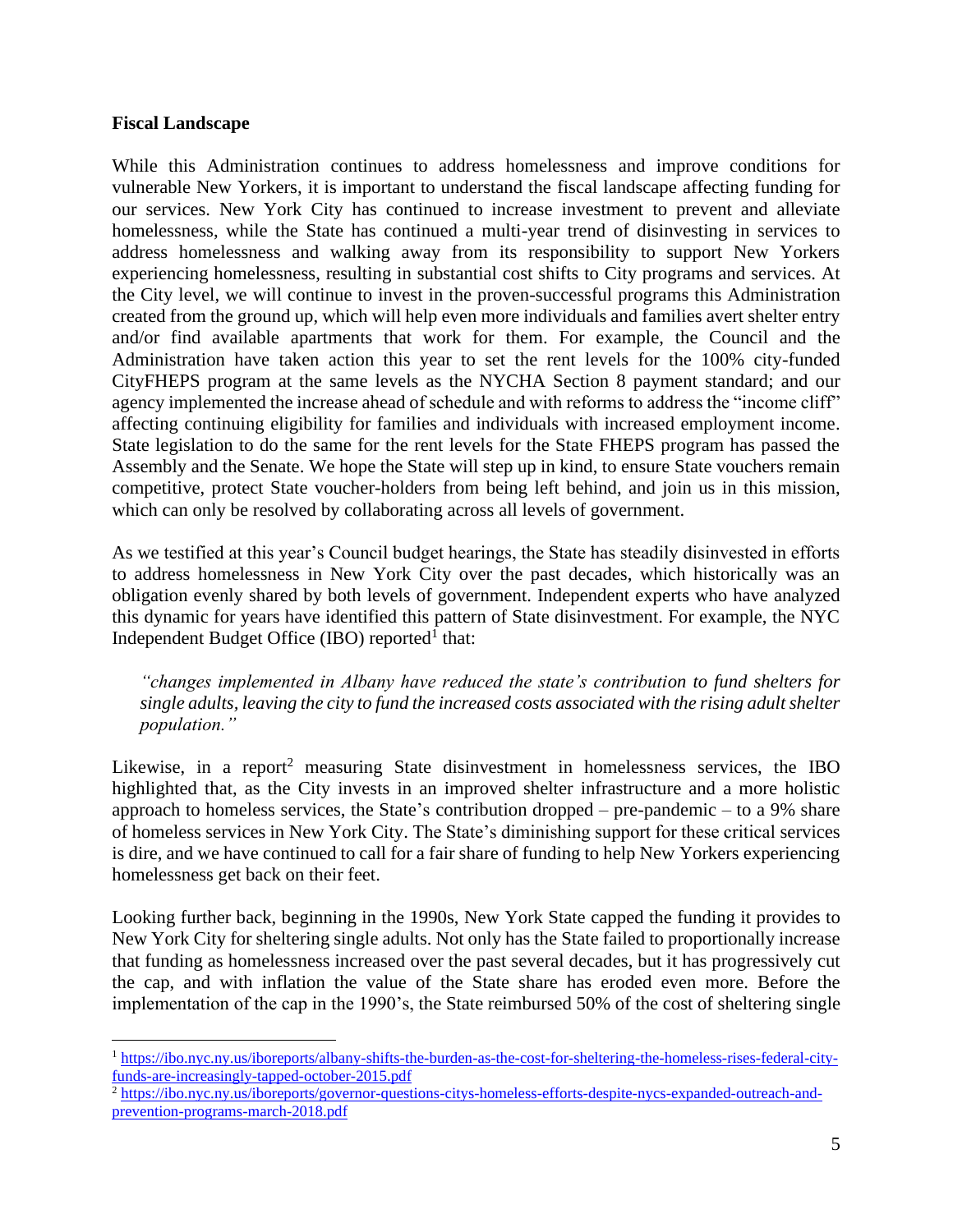#### **Fiscal Landscape**

While this Administration continues to address homelessness and improve conditions for vulnerable New Yorkers, it is important to understand the fiscal landscape affecting funding for our services. New York City has continued to increase investment to prevent and alleviate homelessness, while the State has continued a multi-year trend of disinvesting in services to address homelessness and walking away from its responsibility to support New Yorkers experiencing homelessness, resulting in substantial cost shifts to City programs and services. At the City level, we will continue to invest in the proven-successful programs this Administration created from the ground up, which will help even more individuals and families avert shelter entry and/or find available apartments that work for them. For example, the Council and the Administration have taken action this year to set the rent levels for the 100% city-funded CityFHEPS program at the same levels as the NYCHA Section 8 payment standard; and our agency implemented the increase ahead of schedule and with reforms to address the "income cliff" affecting continuing eligibility for families and individuals with increased employment income. State legislation to do the same for the rent levels for the State FHEPS program has passed the Assembly and the Senate. We hope the State will step up in kind, to ensure State vouchers remain competitive, protect State voucher-holders from being left behind, and join us in this mission, which can only be resolved by collaborating across all levels of government.

As we testified at this year's Council budget hearings, the State has steadily disinvested in efforts to address homelessness in New York City over the past decades, which historically was an obligation evenly shared by both levels of government. Independent experts who have analyzed this dynamic for years have identified this pattern of State disinvestment. For example, the NYC Independent Budget Office (IBO) reported<sup>1</sup> that:

*"changes implemented in Albany have reduced the state's contribution to fund shelters for single adults, leaving the city to fund the increased costs associated with the rising adult shelter population."*

Likewise, in a report<sup>2</sup> measuring State disinvestment in homelessness services, the IBO highlighted that, as the City invests in an improved shelter infrastructure and a more holistic approach to homeless services, the State's contribution dropped – pre-pandemic – to a 9% share of homeless services in New York City. The State's diminishing support for these critical services is dire, and we have continued to call for a fair share of funding to help New Yorkers experiencing homelessness get back on their feet.

Looking further back, beginning in the 1990s, New York State capped the funding it provides to New York City for sheltering single adults. Not only has the State failed to proportionally increase that funding as homelessness increased over the past several decades, but it has progressively cut the cap, and with inflation the value of the State share has eroded even more. Before the implementation of the cap in the 1990's, the State reimbursed 50% of the cost of sheltering single

<sup>1</sup> [https://ibo.nyc.ny.us/iboreports/albany-shifts-the-burden-as-the-cost-for-sheltering-the-homeless-rises-federal-city](https://ibo.nyc.ny.us/iboreports/albany-shifts-the-burden-as-the-cost-for-sheltering-the-homeless-rises-federal-city-funds-are-increasingly-tapped-october-2015.pdf)[funds-are-increasingly-tapped-october-2015.pdf](https://ibo.nyc.ny.us/iboreports/albany-shifts-the-burden-as-the-cost-for-sheltering-the-homeless-rises-federal-city-funds-are-increasingly-tapped-october-2015.pdf)

<sup>&</sup>lt;sup>2</sup> [https://ibo.nyc.ny.us/iboreports/governor-questions-citys-homeless-efforts-despite-nycs-expanded-outreach-and](https://ibo.nyc.ny.us/iboreports/governor-questions-citys-homeless-efforts-despite-nycs-expanded-outreach-and-prevention-programs-march-2018.pdf)[prevention-programs-march-2018.pdf](https://ibo.nyc.ny.us/iboreports/governor-questions-citys-homeless-efforts-despite-nycs-expanded-outreach-and-prevention-programs-march-2018.pdf)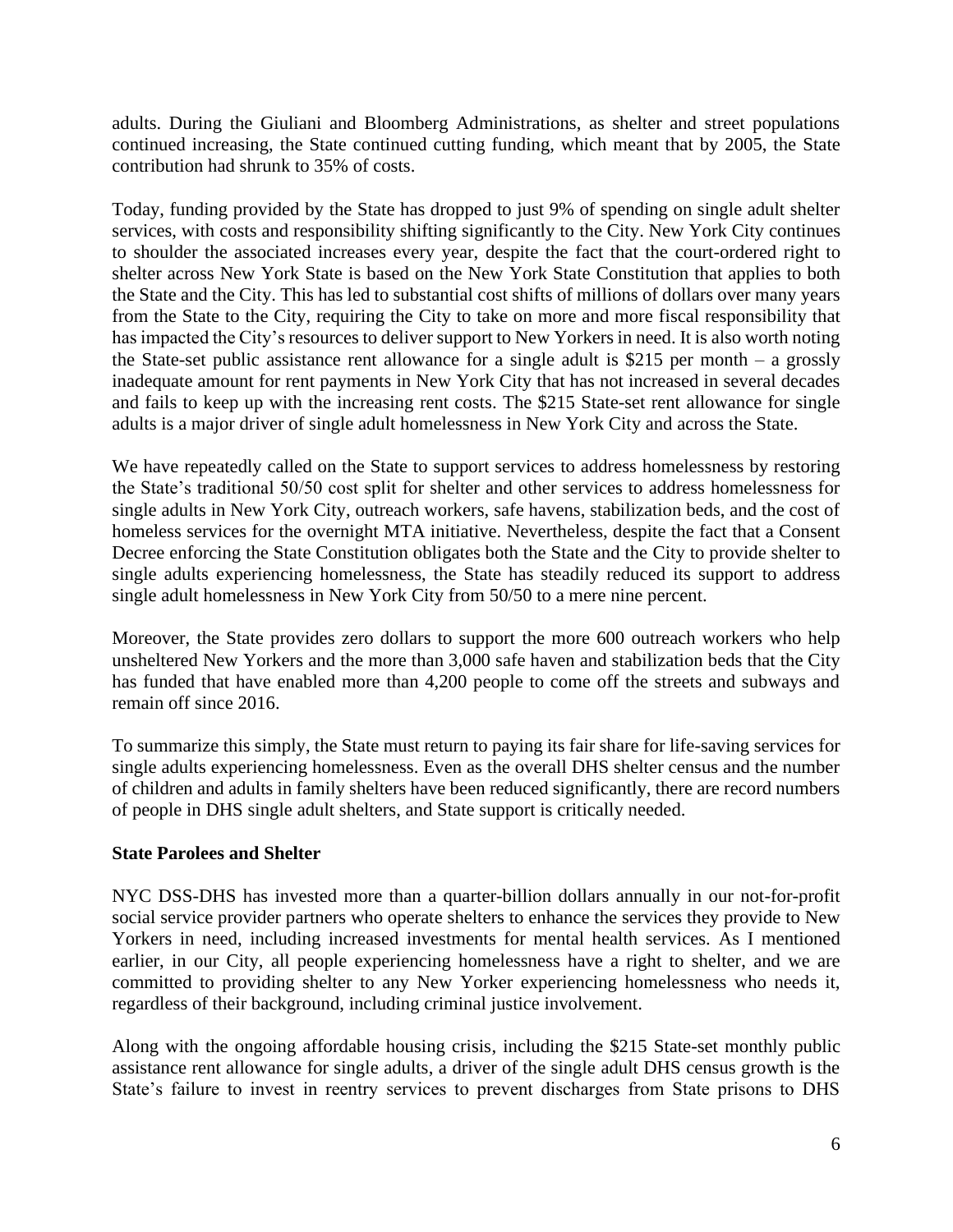adults. During the Giuliani and Bloomberg Administrations, as shelter and street populations continued increasing, the State continued cutting funding, which meant that by 2005, the State contribution had shrunk to 35% of costs.

Today, funding provided by the State has dropped to just 9% of spending on single adult shelter services, with costs and responsibility shifting significantly to the City. New York City continues to shoulder the associated increases every year, despite the fact that the court-ordered right to shelter across New York State is based on the New York State Constitution that applies to both the State and the City. This has led to substantial cost shifts of millions of dollars over many years from the State to the City, requiring the City to take on more and more fiscal responsibility that has impacted the City's resources to deliver support to New Yorkers in need. It is also worth noting the State-set public assistance rent allowance for a single adult is \$215 per month  $-$  a grossly inadequate amount for rent payments in New York City that has not increased in several decades and fails to keep up with the increasing rent costs. The \$215 State-set rent allowance for single adults is a major driver of single adult homelessness in New York City and across the State.

We have repeatedly called on the State to support services to address homelessness by restoring the State's traditional 50/50 cost split for shelter and other services to address homelessness for single adults in New York City, outreach workers, safe havens, stabilization beds, and the cost of homeless services for the overnight MTA initiative. Nevertheless, despite the fact that a Consent Decree enforcing the State Constitution obligates both the State and the City to provide shelter to single adults experiencing homelessness, the State has steadily reduced its support to address single adult homelessness in New York City from 50/50 to a mere nine percent.

Moreover, the State provides zero dollars to support the more 600 outreach workers who help unsheltered New Yorkers and the more than 3,000 safe haven and stabilization beds that the City has funded that have enabled more than 4,200 people to come off the streets and subways and remain off since 2016.

To summarize this simply, the State must return to paying its fair share for life-saving services for single adults experiencing homelessness. Even as the overall DHS shelter census and the number of children and adults in family shelters have been reduced significantly, there are record numbers of people in DHS single adult shelters, and State support is critically needed.

## **State Parolees and Shelter**

NYC DSS-DHS has invested more than a quarter-billion dollars annually in our not-for-profit social service provider partners who operate shelters to enhance the services they provide to New Yorkers in need, including increased investments for mental health services. As I mentioned earlier, in our City, all people experiencing homelessness have a right to shelter, and we are committed to providing shelter to any New Yorker experiencing homelessness who needs it, regardless of their background, including criminal justice involvement.

Along with the ongoing affordable housing crisis, including the \$215 State-set monthly public assistance rent allowance for single adults, a driver of the single adult DHS census growth is the State's failure to invest in reentry services to prevent discharges from State prisons to DHS